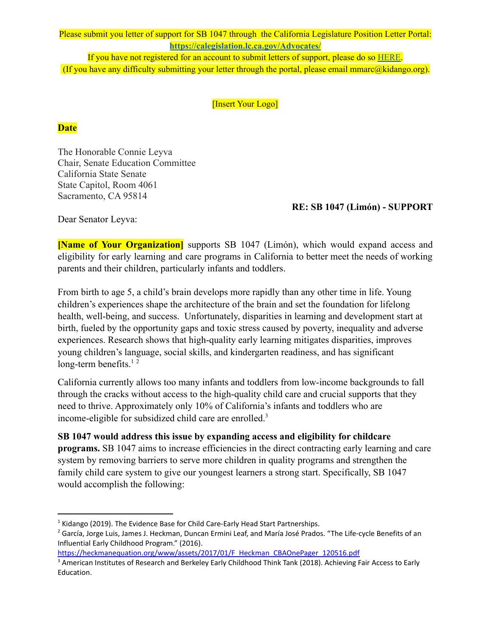Please submit you letter of support for SB 1047 through the California Legislature Position Letter Portal: **<https://calegislation.lc.ca.gov/Advocates/>**

If you have not registered for an account to submit letters of support, please do so [HERE.](https://calegislation.lc.ca.gov/Advocates/faces/register.xhtml) (If you have any difficulty submitting your letter through the portal, please email mmarc@kidango.org).

[Insert Your Logo]

## **Date**

The Honorable Connie Leyva Chair, Senate Education Committee California State Senate State Capitol, Room 4061 Sacramento, CA 95814

## **RE: SB 1047 (Limón) - SUPPORT**

Dear Senator Leyva:

**[Name of Your Organization]** supports SB 1047 (Limón), which would expand access and eligibility for early learning and care programs in California to better meet the needs of working parents and their children, particularly infants and toddlers.

From birth to age 5, a child's brain develops more rapidly than any other time in life. Young children's experiences shape the architecture of the brain and set the foundation for lifelong health, well-being, and success. Unfortunately, disparities in learning and development start at birth, fueled by the opportunity gaps and toxic stress caused by poverty, inequality and adverse experiences. Research shows that high-quality early learning mitigates disparities, improves young children's language, social skills, and kindergarten readiness, and has significant long-term benefits. $12$ 

California currently allows too many infants and toddlers from low-income backgrounds to fall through the cracks without access to the high-quality child care and crucial supports that they need to thrive. Approximately only 10% of California's infants and toddlers who are income-eligible for subsidized child care are enrolled.<sup>3</sup>

**SB 1047 would address this issue by expanding access and eligibility for childcare programs.** SB 1047 aims to increase efficiencies in the direct contracting early learning and care system by removing barriers to serve more children in quality programs and strengthen the family child care system to give our youngest learners a strong start. Specifically, SB 1047 would accomplish the following:

 $1$  Kidango (2019). The Evidence Base for Child Care-Early Head Start Partnerships.

<sup>&</sup>lt;sup>2</sup> García, Jorge Luis, James J. Heckman, Duncan Ermini Leaf, and María José Prados. "The Life-cycle Benefits of an Influential Early Childhood Program." (2016).

[https://heckmanequation.org/www/assets/2017/01/F\\_Heckman\\_CBAOnePager\\_120516.pdf](https://heckmanequation.org/www/assets/2017/01/F_Heckman_CBAOnePager_120516.pdf)

<sup>&</sup>lt;sup>3</sup> American Institutes of Research and Berkeley Early Childhood Think Tank (2018). Achieving Fair Access to Early Education.